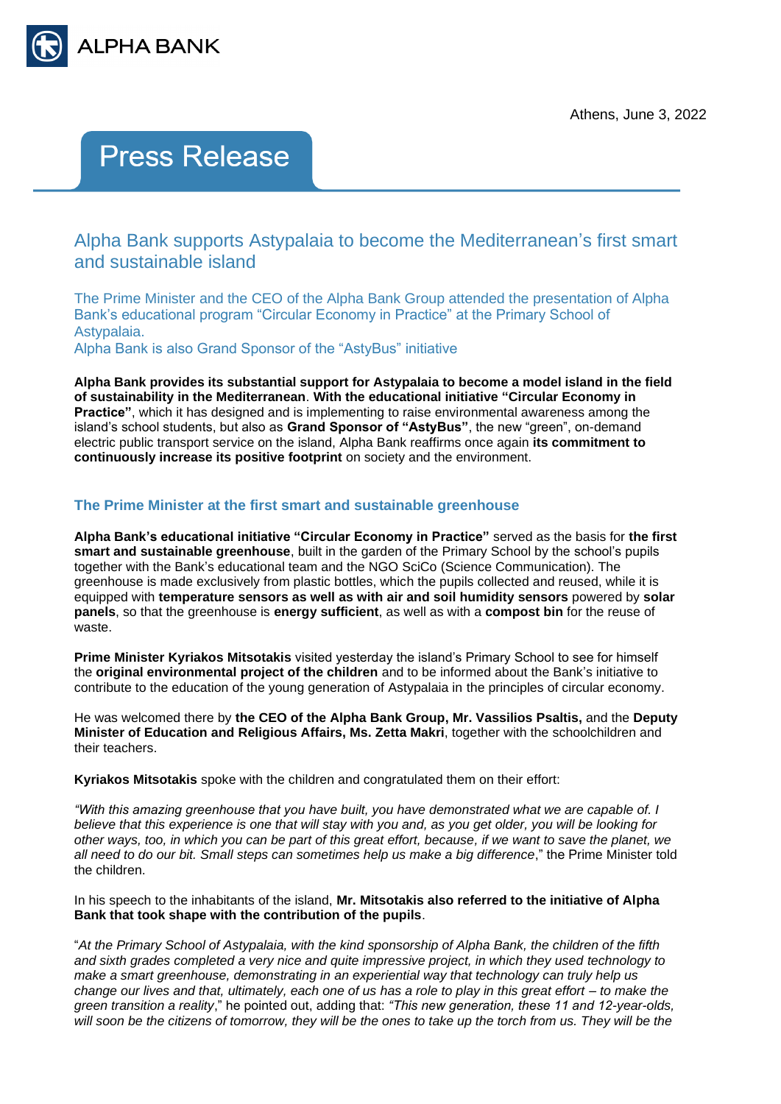

# **Press Release**

Alpha Bank supports Astypalaia to become the Mediterranean's first smart and sustainable island

The Prime Minister and the CEO of the Alpha Bank Group attended the presentation of Alpha Bank's educational program "Circular Economy in Practice" at the Primary School of Astypalaia.

Alpha Bank is also Grand Sponsor of the "AstyBus" initiative

**Alpha Bank provides its substantial support for Astypalaia to become a model island in the field of sustainability in the Mediterranean**. **With the educational initiative "Circular Economy in Practice"**, which it has designed and is implementing to raise environmental awareness among the island's school students, but also as **Grand Sponsor of "AstyBus"**, the new "green", on-demand electric public transport service on the island, Alpha Bank reaffirms once again **its commitment to continuously increase its positive footprint** on society and the environment.

## **The Prime Minister at the first smart and sustainable greenhouse**

**Alpha Bank's educational initiative "Circular Economy in Practice"** served as the basis for **the first smart and sustainable greenhouse**, built in the garden of the Primary School by the school's pupils together with the Bank's educational team and the NGO SciCo (Science Communication). The greenhouse is made exclusively from plastic bottles, which the pupils collected and reused, while it is equipped with **temperature sensors as well as with air and soil humidity sensors** powered by **solar panels**, so that the greenhouse is **energy sufficient**, as well as with a **compost bin** for the reuse of waste.

**Prime Minister Kyriakos Mitsotakis** visited yesterday the island's Primary School to see for himself the **original environmental project of the children** and to be informed about the Bank's initiative to contribute to the education of the young generation of Astypalaia in the principles of circular economy.

He was welcomed there by **the CEO of the Alpha Bank Group, Mr. Vassilios Psaltis,** and the **Deputy Minister of Education and Religious Affairs, Ms. Zetta Makri**, together with the schoolchildren and their teachers.

**Kyriakos Mitsotakis** spoke with the children and congratulated them on their effort:

*"With this amazing greenhouse that you have built, you have demonstrated what we are capable of. I believe that this experience is one that will stay with you and, as you get older, you will be looking for other ways, too, in which you can be part of this great effort, because, if we want to save the planet, we all need to do our bit. Small steps can sometimes help us make a big difference*," the Prime Minister told the children.

In his speech to the inhabitants of the island, **Mr. Mitsotakis also referred to the initiative of Alpha Bank that took shape with the contribution of the pupils**.

"*At the Primary School of Astypalaia, with the kind sponsorship of Alpha Bank, the children of the fifth and sixth grades completed a very nice and quite impressive project, in which they used technology to make a smart greenhouse, demonstrating in an experiential way that technology can truly help us change our lives and that, ultimately, each one of us has a role to play in this great effort – to make the green transition a reality*," he pointed out, adding that: *"This new generation, these 11 and 12-year-olds, will soon be the citizens of tomorrow, they will be the ones to take up the torch from us. They will be the*